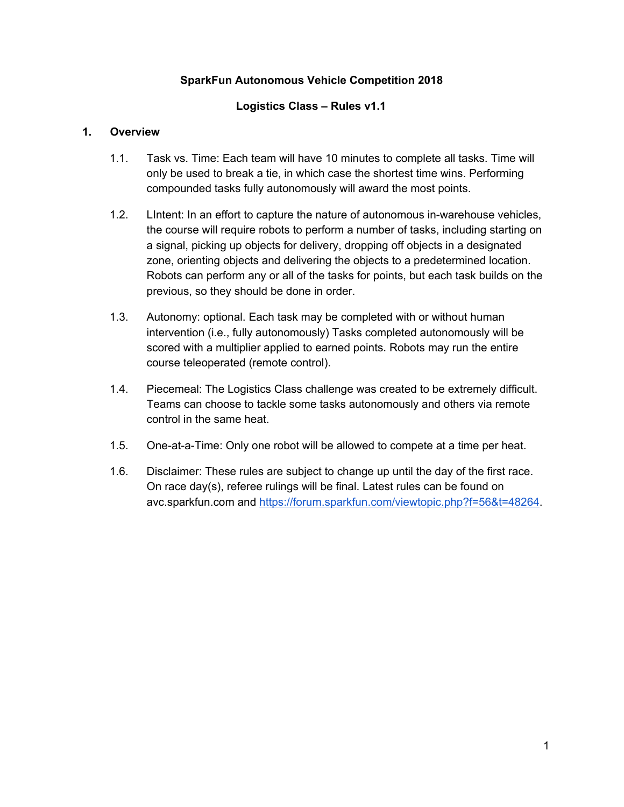# **SparkFun Autonomous Vehicle Competition 2018**

## **Logistics Class – Rules v1.1**

## **1. Overview**

- 1.1. Task vs. Time: Each team will have 10 minutes to complete all tasks. Time will only be used to break a tie, in which case the shortest time wins. Performing compounded tasks fully autonomously will award the most points.
- 1.2. LIntent: In an effort to capture the nature of autonomous in-warehouse vehicles, the course will require robots to perform a number of tasks, including starting on a signal, picking up objects for delivery, dropping off objects in a designated zone, orienting objects and delivering the objects to a predetermined location. Robots can perform any or all of the tasks for points, but each task builds on the previous, so they should be done in order.
- 1.3. Autonomy: optional. Each task may be completed with or without human intervention (i.e., fully autonomously) Tasks completed autonomously will be scored with a multiplier applied to earned points. Robots may run the entire course teleoperated (remote control).
- 1.4. Piecemeal: The Logistics Class challenge was created to be extremely difficult. Teams can choose to tackle some tasks autonomously and others via remote control in the same heat.
- 1.5. One-at-a-Time: Only one robot will be allowed to compete at a time per heat.
- 1.6. Disclaimer: These rules are subject to change up until the day of the first race. On race day(s), referee rulings will be final. Latest rules can be found on avc.sparkfun.com and [https://forum.sparkfun.com/viewtopic.php?f=56&t=48264.](https://forum.sparkfun.com/viewtopic.php?f=56&t=48264)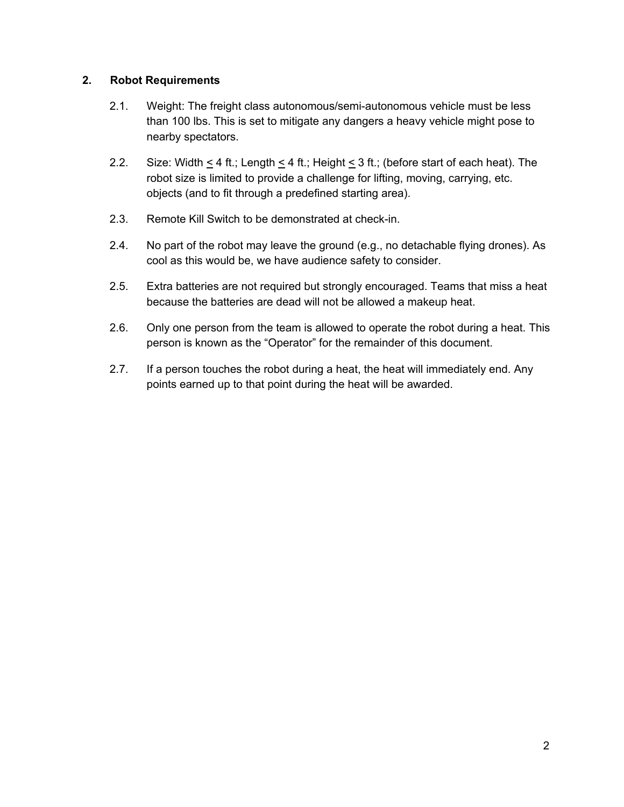# **2. Robot Requirements**

- 2.1. Weight: The freight class autonomous/semi-autonomous vehicle must be less than 100 lbs. This is set to mitigate any dangers a heavy vehicle might pose to nearby spectators.
- 2.2. Size: Width  $\leq$  4 ft.; Length  $\leq$  4 ft.; Height  $\leq$  3 ft.; (before start of each heat). The robot size is limited to provide a challenge for lifting, moving, carrying, etc. objects (and to fit through a predefined starting area).
- 2.3. Remote Kill Switch to be demonstrated at check-in.
- 2.4. No part of the robot may leave the ground (e.g., no detachable flying drones). As cool as this would be, we have audience safety to consider.
- 2.5. Extra batteries are not required but strongly encouraged. Teams that miss a heat because the batteries are dead will not be allowed a makeup heat.
- 2.6. Only one person from the team is allowed to operate the robot during a heat. This person is known as the "Operator" for the remainder of this document.
- 2.7. If a person touches the robot during a heat, the heat will immediately end. Any points earned up to that point during the heat will be awarded.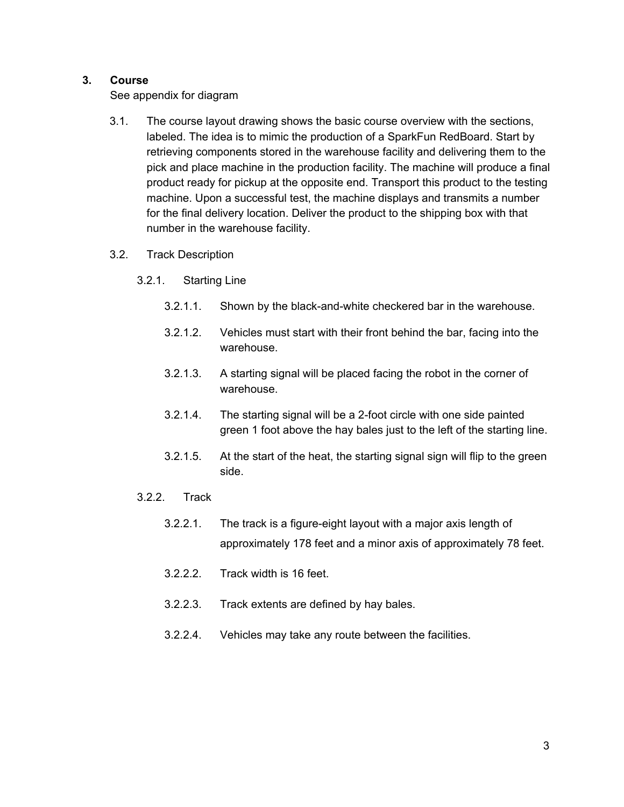### **3. Course**

See appendix for diagram

- 3.1. The course layout drawing shows the basic course overview with the sections, labeled. The idea is to mimic the production of a SparkFun RedBoard. Start by retrieving components stored in the warehouse facility and delivering them to the pick and place machine in the production facility. The machine will produce a final product ready for pickup at the opposite end. Transport this product to the testing machine. Upon a successful test, the machine displays and transmits a number for the final delivery location. Deliver the product to the shipping box with that number in the warehouse facility.
- 3.2. Track Description
	- 3.2.1. Starting Line
		- 3.2.1.1. Shown by the black-and-white checkered bar in the warehouse.
		- 3.2.1.2. Vehicles must start with their front behind the bar, facing into the warehouse.
		- 3.2.1.3. A starting signal will be placed facing the robot in the corner of warehouse.
		- 3.2.1.4. The starting signal will be a 2-foot circle with one side painted green 1 foot above the hay bales just to the left of the starting line.
		- 3.2.1.5. At the start of the heat, the starting signal sign will flip to the green side.
	- 3.2.2. Track
		- 3.2.2.1. The track is a figure-eight layout with a major axis length of approximately 178 feet and a minor axis of approximately 78 feet.
		- 3.2.2.2. Track width is 16 feet.
		- 3.2.2.3. Track extents are defined by hay bales.
		- 3.2.2.4. Vehicles may take any route between the facilities.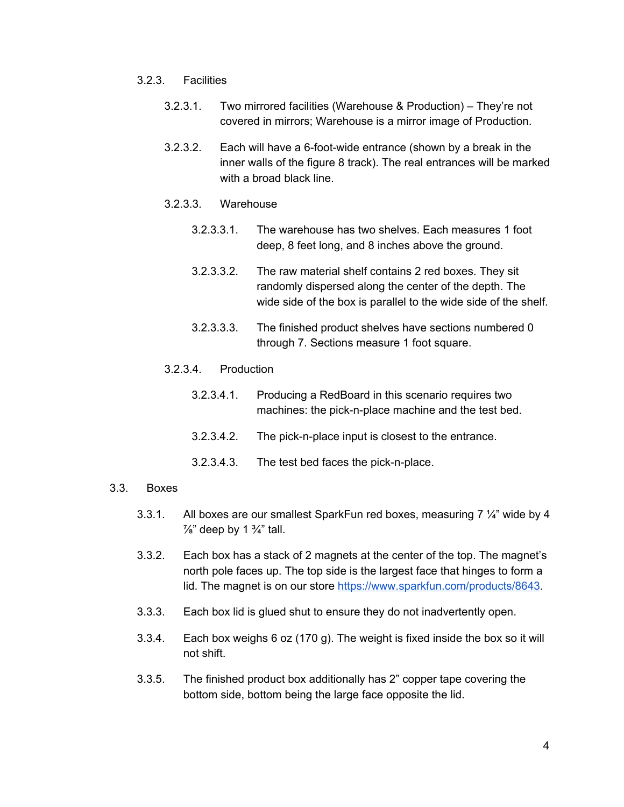#### 3.2.3. Facilities

- 3.2.3.1. Two mirrored facilities (Warehouse & Production) They're not covered in mirrors; Warehouse is a mirror image of Production.
- 3.2.3.2. Each will have a 6-foot-wide entrance (shown by a break in the inner walls of the figure 8 track). The real entrances will be marked with a broad black line.

#### 3.2.3.3. Warehouse

- 3.2.3.3.1. The warehouse has two shelves. Each measures 1 foot deep, 8 feet long, and 8 inches above the ground.
- 3.2.3.3.2. The raw material shelf contains 2 red boxes. They sit randomly dispersed along the center of the depth. The wide side of the box is parallel to the wide side of the shelf.
- 3.2.3.3.3. The finished product shelves have sections numbered 0 through 7. Sections measure 1 foot square.

#### 3.2.3.4. Production

- 3.2.3.4.1. Producing a RedBoard in this scenario requires two machines: the pick-n-place machine and the test bed.
- 3.2.3.4.2. The pick-n-place input is closest to the entrance.
- 3.2.3.4.3. The test bed faces the pick-n-place.

#### 3.3. Boxes

- 3.3.1. All boxes are our smallest SparkFun red boxes, measuring  $7\frac{1}{4}$  wide by 4  $\frac{7}{8}$ " deep by 1  $\frac{3}{4}$ " tall.
- 3.3.2. Each box has a stack of 2 magnets at the center of the top. The magnet's north pole faces up. The top side is the largest face that hinges to form a lid. The magnet is on our store <https://www.sparkfun.com/products/8643>.
- 3.3.3. Each box lid is glued shut to ensure they do not inadvertently open.
- 3.3.4. Each box weighs 6 oz (170 g). The weight is fixed inside the box so it will not shift.
- 3.3.5. The finished product box additionally has 2" copper tape covering the bottom side, bottom being the large face opposite the lid.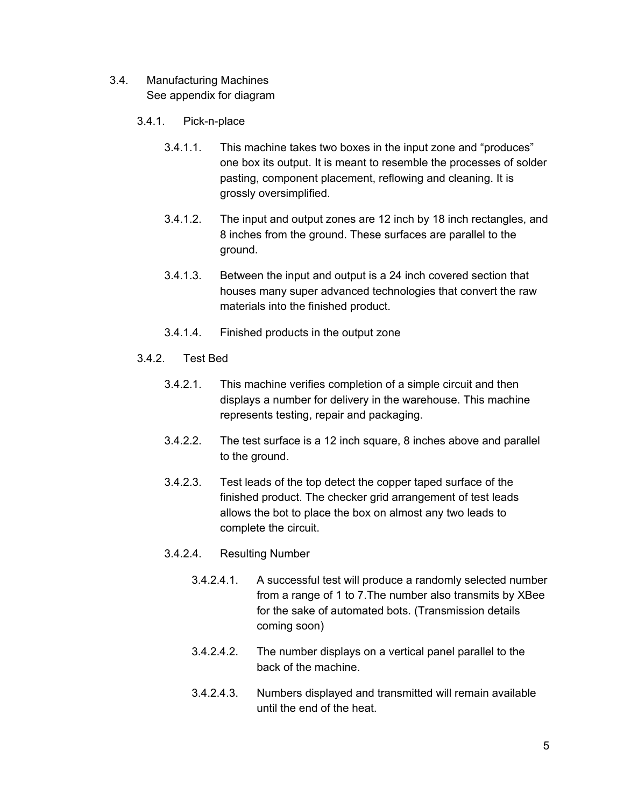- 3.4. Manufacturing Machines See appendix for diagram
	- 3.4.1. Pick-n-place
		- 3.4.1.1. This machine takes two boxes in the input zone and "produces" one box its output. It is meant to resemble the processes of solder pasting, component placement, reflowing and cleaning. It is grossly oversimplified.
		- 3.4.1.2. The input and output zones are 12 inch by 18 inch rectangles, and 8 inches from the ground. These surfaces are parallel to the ground.
		- 3.4.1.3. Between the input and output is a 24 inch covered section that houses many super advanced technologies that convert the raw materials into the finished product.
		- 3.4.1.4. Finished products in the output zone
	- 3.4.2. Test Bed
		- 3.4.2.1. This machine verifies completion of a simple circuit and then displays a number for delivery in the warehouse. This machine represents testing, repair and packaging.
		- 3.4.2.2. The test surface is a 12 inch square, 8 inches above and parallel to the ground.
		- 3.4.2.3. Test leads of the top detect the copper taped surface of the finished product. The checker grid arrangement of test leads allows the bot to place the box on almost any two leads to complete the circuit.
		- 3.4.2.4. Resulting Number
			- 3.4.2.4.1. A successful test will produce a randomly selected number from a range of 1 to 7.The number also transmits by XBee for the sake of automated bots. (Transmission details coming soon)
			- 3.4.2.4.2. The number displays on a vertical panel parallel to the back of the machine.
			- 3.4.2.4.3. Numbers displayed and transmitted will remain available until the end of the heat.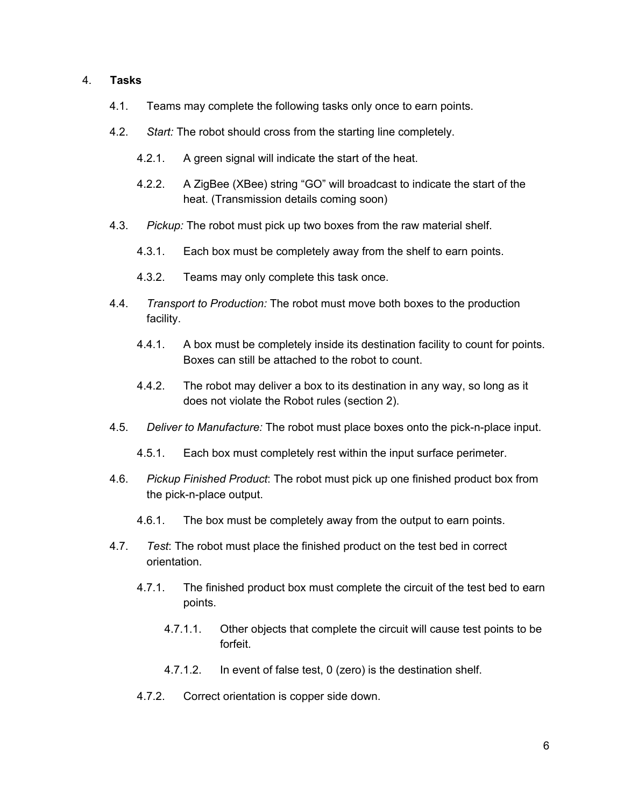#### 4. **Tasks**

- 4.1. Teams may complete the following tasks only once to earn points.
- 4.2. *Start:* The robot should cross from the starting line completely.
	- 4.2.1. A green signal will indicate the start of the heat.
	- 4.2.2. A ZigBee (XBee) string "GO" will broadcast to indicate the start of the heat. (Transmission details coming soon)
- 4.3. *Pickup:* The robot must pick up two boxes from the raw material shelf.
	- 4.3.1. Each box must be completely away from the shelf to earn points.
	- 4.3.2. Teams may only complete this task once.
- 4.4. *Transport to Production:* The robot must move both boxes to the production facility.
	- 4.4.1. A box must be completely inside its destination facility to count for points. Boxes can still be attached to the robot to count.
	- 4.4.2. The robot may deliver a box to its destination in any way, so long as it does not violate the Robot rules (section 2).
- 4.5. *Deliver to Manufacture:* The robot must place boxes onto the pick-n-place input.
	- 4.5.1. Each box must completely rest within the input surface perimeter.
- 4.6. *Pickup Finished Product*: The robot must pick up one finished product box from the pick-n-place output.
	- 4.6.1. The box must be completely away from the output to earn points.
- 4.7. *Test*: The robot must place the finished product on the test bed in correct orientation.
	- 4.7.1. The finished product box must complete the circuit of the test bed to earn points.
		- 4.7.1.1. Other objects that complete the circuit will cause test points to be forfeit.
		- 4.7.1.2. In event of false test, 0 (zero) is the destination shelf.
	- 4.7.2. Correct orientation is copper side down.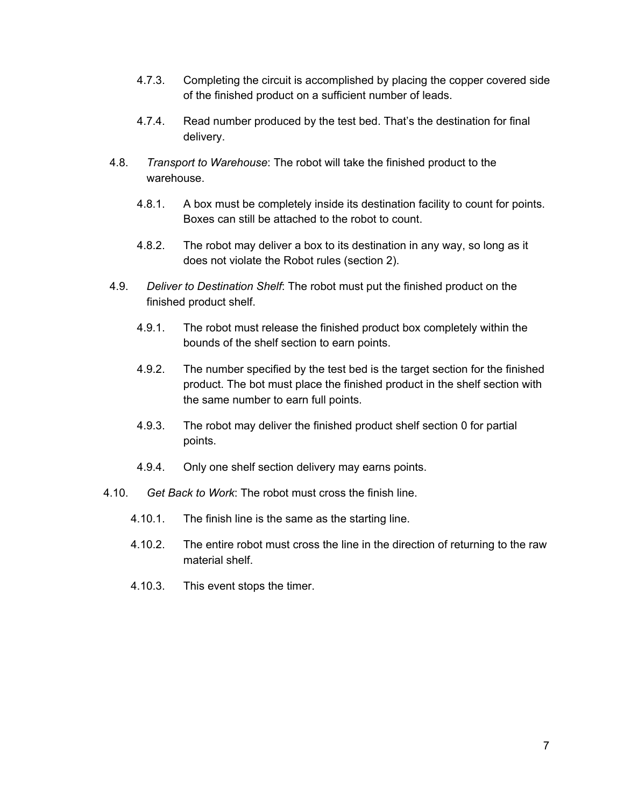- 4.7.3. Completing the circuit is accomplished by placing the copper covered side of the finished product on a sufficient number of leads.
- 4.7.4. Read number produced by the test bed. That's the destination for final delivery.
- 4.8. *Transport to Warehouse*: The robot will take the finished product to the warehouse.
	- 4.8.1. A box must be completely inside its destination facility to count for points. Boxes can still be attached to the robot to count.
	- 4.8.2. The robot may deliver a box to its destination in any way, so long as it does not violate the Robot rules (section 2).
- 4.9. *Deliver to Destination Shelf*: The robot must put the finished product on the finished product shelf.
	- 4.9.1. The robot must release the finished product box completely within the bounds of the shelf section to earn points.
	- 4.9.2. The number specified by the test bed is the target section for the finished product. The bot must place the finished product in the shelf section with the same number to earn full points.
	- 4.9.3. The robot may deliver the finished product shelf section 0 for partial points.
	- 4.9.4. Only one shelf section delivery may earns points.
- 4.10. *Get Back to Work*: The robot must cross the finish line.
	- 4.10.1. The finish line is the same as the starting line.
	- 4.10.2. The entire robot must cross the line in the direction of returning to the raw material shelf.
	- 4.10.3. This event stops the timer.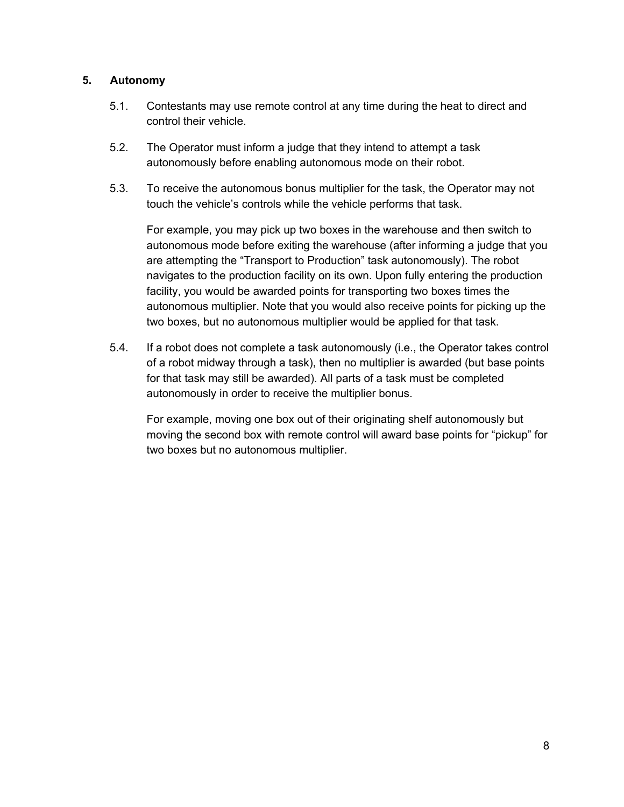# **5. Autonomy**

- 5.1. Contestants may use remote control at any time during the heat to direct and control their vehicle.
- 5.2. The Operator must inform a judge that they intend to attempt a task autonomously before enabling autonomous mode on their robot.
- 5.3. To receive the autonomous bonus multiplier for the task, the Operator may not touch the vehicle's controls while the vehicle performs that task.

For example, you may pick up two boxes in the warehouse and then switch to autonomous mode before exiting the warehouse (after informing a judge that you are attempting the "Transport to Production" task autonomously). The robot navigates to the production facility on its own. Upon fully entering the production facility, you would be awarded points for transporting two boxes times the autonomous multiplier. Note that you would also receive points for picking up the two boxes, but no autonomous multiplier would be applied for that task.

5.4. If a robot does not complete a task autonomously (i.e., the Operator takes control of a robot midway through a task), then no multiplier is awarded (but base points for that task may still be awarded). All parts of a task must be completed autonomously in order to receive the multiplier bonus.

For example, moving one box out of their originating shelf autonomously but moving the second box with remote control will award base points for "pickup" for two boxes but no autonomous multiplier.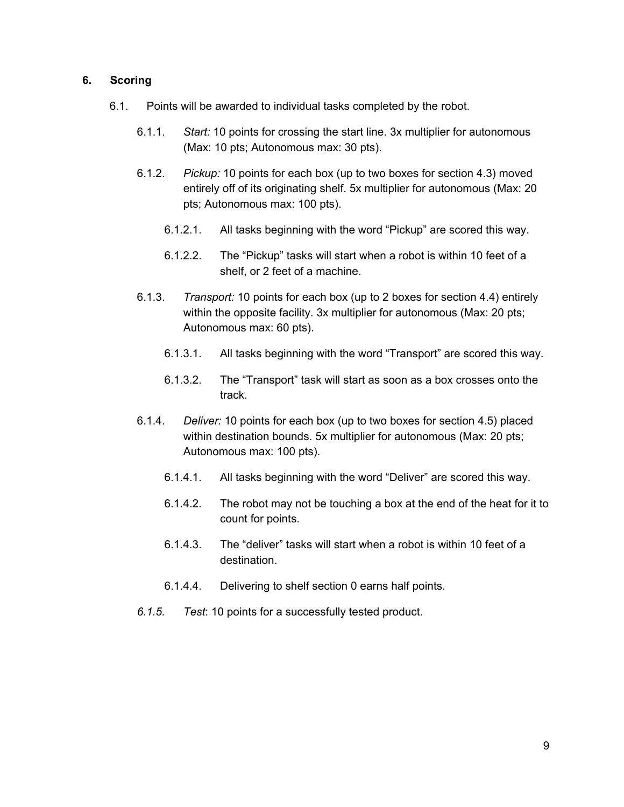### **6. Scoring**

- 6.1. Points will be awarded to individual tasks completed by the robot.
	- 6.1.1. *Start:* 10 points for crossing the start line. 3x multiplier for autonomous (Max: 10 pts; Autonomous max: 30 pts).
	- 6.1.2. *Pickup:* 10 points for each box (up to two boxes for section 4.3) moved entirely off of its originating shelf. 5x multiplier for autonomous (Max: 20 pts; Autonomous max: 100 pts).
		- 6.1.2.1. All tasks beginning with the word "Pickup" are scored this way.
		- 6.1.2.2. The "Pickup" tasks will start when a robot is within 10 feet of a shelf, or 2 feet of a machine.
	- 6.1.3. *Transport:* 10 points for each box (up to 2 boxes for section 4.4) entirely within the opposite facility. 3x multiplier for autonomous (Max: 20 pts; Autonomous max: 60 pts).
		- 6.1.3.1. All tasks beginning with the word "Transport" are scored this way.
		- 6.1.3.2. The "Transport" task will start as soon as a box crosses onto the track.
	- 6.1.4. *Deliver:* 10 points for each box (up to two boxes for section 4.5) placed within destination bounds. 5x multiplier for autonomous (Max: 20 pts; Autonomous max: 100 pts).
		- 6.1.4.1. All tasks beginning with the word "Deliver" are scored this way.
		- 6.1.4.2. The robot may not be touching a box at the end of the heat for it to count for points.
		- 6.1.4.3. The "deliver" tasks will start when a robot is within 10 feet of a destination.
		- 6.1.4.4. Delivering to shelf section 0 earns half points.
	- *6.1.5. Test*: 10 points for a successfully tested product.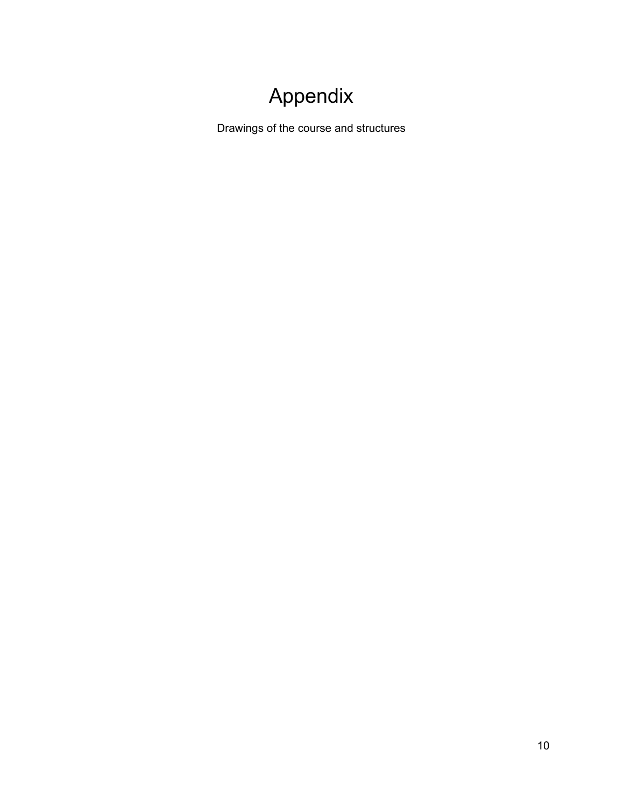# Appendix

Drawings of the course and structures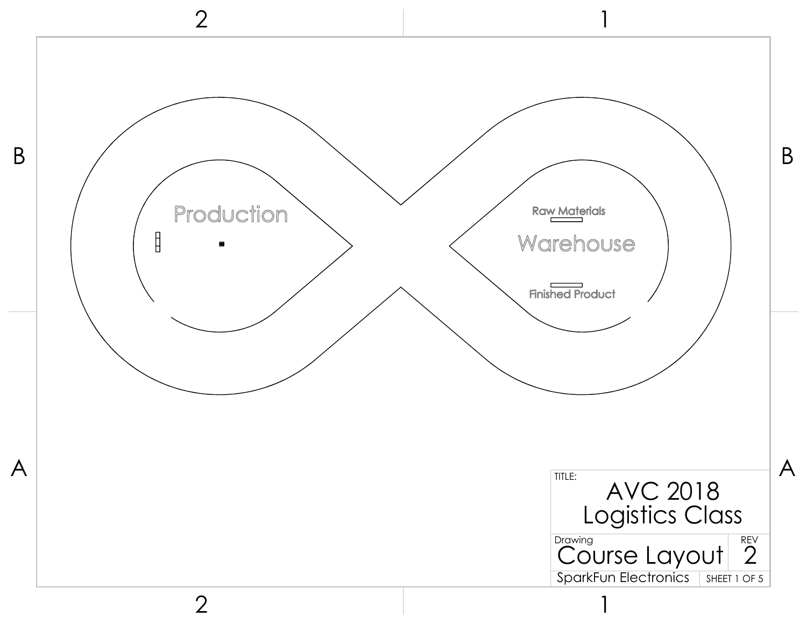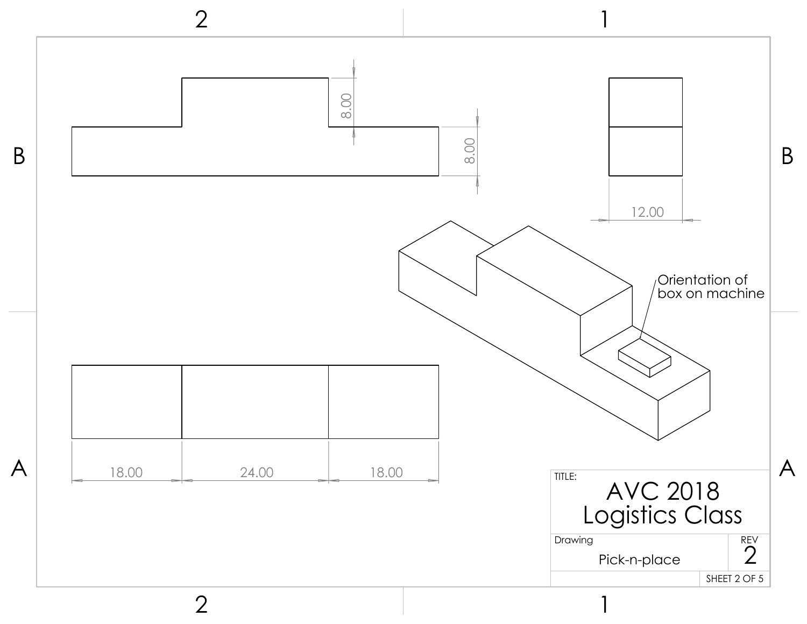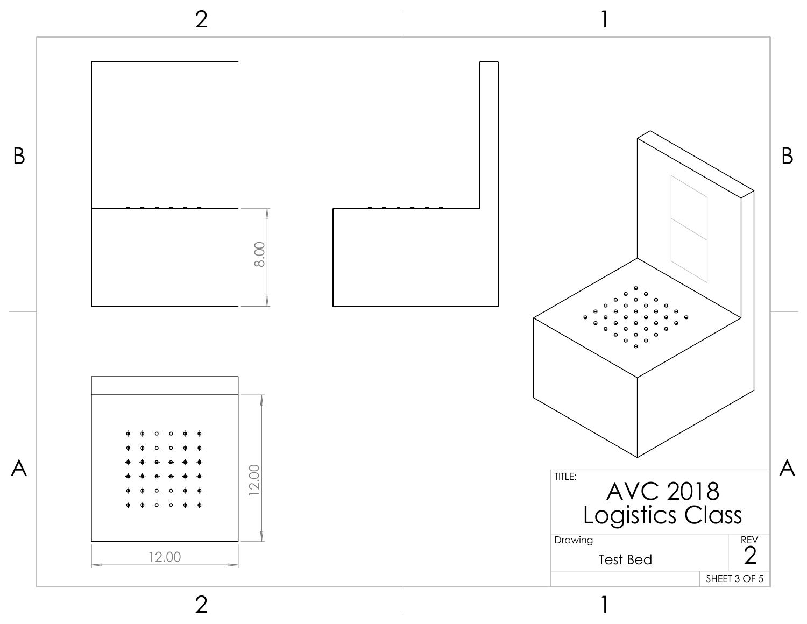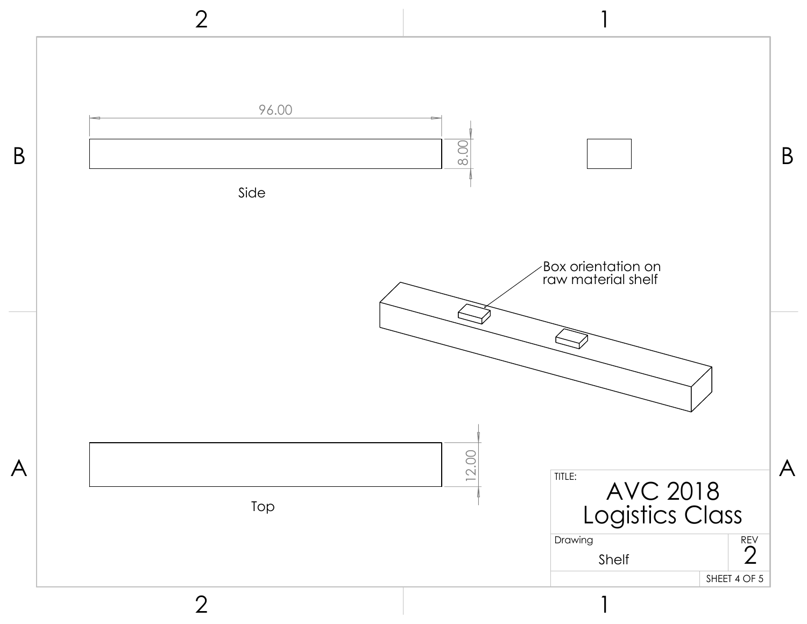